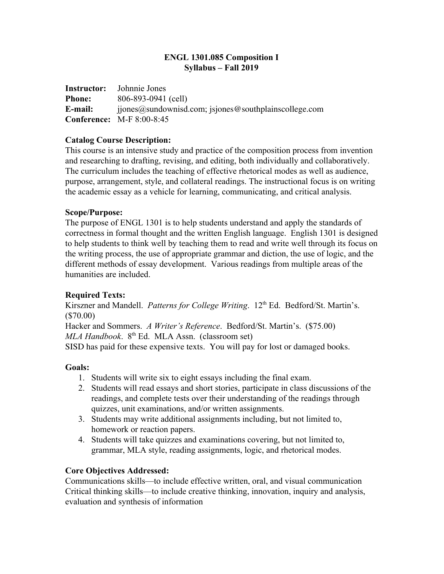# **ENGL 1301.085 Composition I Syllabus – Fall 2019**

| <b>Instructor:</b> | Johnnie Jones                                         |
|--------------------|-------------------------------------------------------|
| <b>Phone:</b>      | 806-893-0941 (cell)                                   |
| E-mail:            | $ijones@sundownisd.com; ijones@southplainscolege.com$ |
|                    | <b>Conference:</b> M-F 8:00-8:45                      |

# **Catalog Course Description:**

This course is an intensive study and practice of the composition process from invention and researching to drafting, revising, and editing, both individually and collaboratively. The curriculum includes the teaching of effective rhetorical modes as well as audience, purpose, arrangement, style, and collateral readings. The instructional focus is on writing the academic essay as a vehicle for learning, communicating, and critical analysis.

### **Scope/Purpose:**

The purpose of ENGL 1301 is to help students understand and apply the standards of correctness in formal thought and the written English language. English 1301 is designed to help students to think well by teaching them to read and write well through its focus on the writing process, the use of appropriate grammar and diction, the use of logic, and the different methods of essay development. Various readings from multiple areas of the humanities are included.

# **Required Texts:**

Kirszner and Mandell. Patterns for College Writing. 12<sup>th</sup> Ed. Bedford/St. Martin's. (\$70.00) Hacker and Sommers. *A Writer's Reference*. Bedford/St. Martin's. (\$75.00) MLA Handbook. 8<sup>th</sup> Ed. MLA Assn. (classroom set) SISD has paid for these expensive texts. You will pay for lost or damaged books.

#### **Goals:**

- 1. Students will write six to eight essays including the final exam.
- 2. Students will read essays and short stories, participate in class discussions of the readings, and complete tests over their understanding of the readings through quizzes, unit examinations, and/or written assignments.
- 3. Students may write additional assignments including, but not limited to, homework or reaction papers.
- 4. Students will take quizzes and examinations covering, but not limited to, grammar, MLA style, reading assignments, logic, and rhetorical modes.

# **Core Objectives Addressed:**

Communications skills—to include effective written, oral, and visual communication Critical thinking skills—to include creative thinking, innovation, inquiry and analysis, evaluation and synthesis of information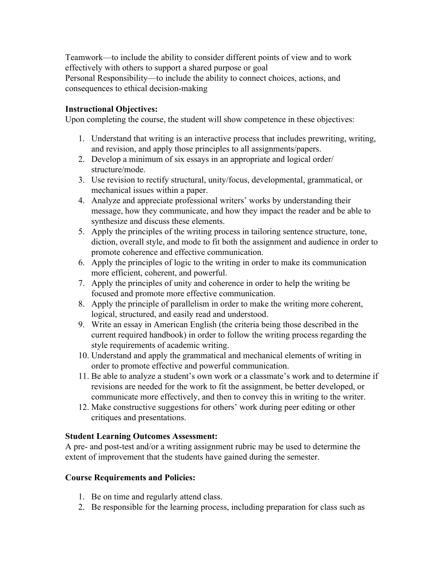Teamwork—to include the ability to consider different points of view and to work effectively with others to support a shared purpose or goal Personal Responsibility—to include the ability to connect choices, actions, and consequences to ethical decision-making

# **Instructional Objectives:**

Upon completing the course, the student will show competence in these objectives:

- 1. Understand that writing is an interactive process that includes prewriting, writing, and revision, and apply those principles to all assignments/papers.
- 2. Develop a minimum of six essays in an appropriate and logical order/ structure/mode.
- 3. Use revision to rectify structural, unity/focus, developmental, grammatical, or mechanical issues within a paper.
- 4. Analyze and appreciate professional writers' works by understanding their message, how they communicate, and how they impact the reader and be able to synthesize and discuss these elements.
- 5. Apply the principles of the writing process in tailoring sentence structure, tone, diction, overall style, and mode to fit both the assignment and audience in order to promote coherence and effective communication.
- 6. Apply the principles of logic to the writing in order to make its communication more efficient, coherent, and powerful.
- 7. Apply the principles of unity and coherence in order to help the writing be focused and promote more effective communication.
- 8. Apply the principle of parallelism in order to make the writing more coherent, logical, structured, and easily read and understood.
- 9. Write an essay in American English (the criteria being those described in the current required handbook) in order to follow the writing process regarding the style requirements of academic writing.
- 10. Understand and apply the grammatical and mechanical elements of writing in order to promote effective and powerful communication.
- 11. Be able to analyze a student's own work or a classmate's work and to determine if revisions are needed for the work to fit the assignment, be better developed, or communicate more effectively, and then to convey this in writing to the writer.
- 12. Make constructive suggestions for others' work during peer editing or other critiques and presentations.

# **Student Learning Outcomes Assessment:**

A pre- and post-test and/or a writing assignment rubric may be used to determine the extent of improvement that the students have gained during the semester.

# **Course Requirements and Policies:**

- 1. Be on time and regularly attend class.
- 2. Be responsible for the learning process, including preparation for class such as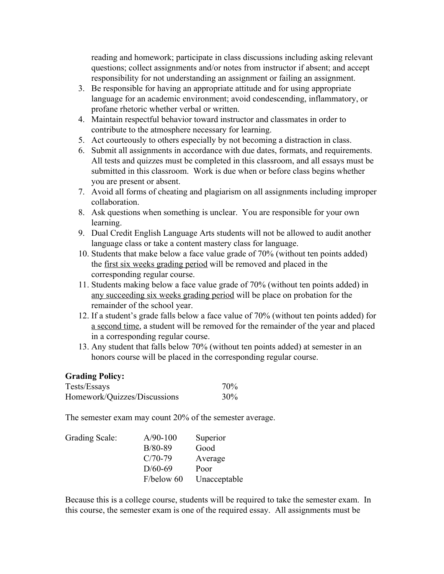reading and homework; participate in class discussions including asking relevant questions; collect assignments and/or notes from instructor if absent; and accept responsibility for not understanding an assignment or failing an assignment.

- 3. Be responsible for having an appropriate attitude and for using appropriate language for an academic environment; avoid condescending, inflammatory, or profane rhetoric whether verbal or written.
- 4. Maintain respectful behavior toward instructor and classmates in order to contribute to the atmosphere necessary for learning.
- 5. Act courteously to others especially by not becoming a distraction in class.
- 6. Submit all assignments in accordance with due dates, formats, and requirements. All tests and quizzes must be completed in this classroom, and all essays must be submitted in this classroom. Work is due when or before class begins whether you are present or absent.
- 7. Avoid all forms of cheating and plagiarism on all assignments including improper collaboration.
- 8. Ask questions when something is unclear. You are responsible for your own learning.
- 9. Dual Credit English Language Arts students will not be allowed to audit another language class or take a content mastery class for language.
- 10. Students that make below a face value grade of 70% (without ten points added) the first six weeks grading period will be removed and placed in the corresponding regular course.
- 11. Students making below a face value grade of 70% (without ten points added) in any succeeding six weeks grading period will be place on probation for the remainder of the school year.
- 12. If a student's grade falls below a face value of 70% (without ten points added) for a second time, a student will be removed for the remainder of the year and placed in a corresponding regular course.
- 13. Any student that falls below 70% (without ten points added) at semester in an honors course will be placed in the corresponding regular course.

#### **Grading Policy:**

| Tests/Essays                 | 70 <sub>%</sub> |
|------------------------------|-----------------|
| Homework/Quizzes/Discussions | 30%             |

The semester exam may count 20% of the semester average.

| Grading Scale: | $A/90-100$ | Superior     |
|----------------|------------|--------------|
|                | $B/80-89$  | Good         |
|                | $C/70-79$  | Average      |
|                | $D/60-69$  | Poor         |
|                | F/below 60 | Unacceptable |

Because this is a college course, students will be required to take the semester exam. In this course, the semester exam is one of the required essay. All assignments must be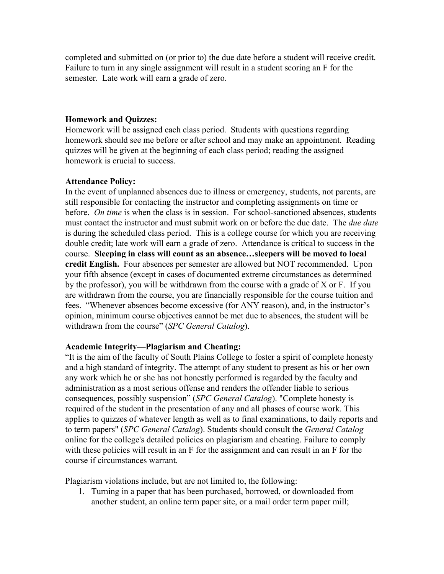completed and submitted on (or prior to) the due date before a student will receive credit. Failure to turn in any single assignment will result in a student scoring an F for the semester. Late work will earn a grade of zero.

#### **Homework and Quizzes:**

Homework will be assigned each class period. Students with questions regarding homework should see me before or after school and may make an appointment. Reading quizzes will be given at the beginning of each class period; reading the assigned homework is crucial to success.

### **Attendance Policy:**

In the event of unplanned absences due to illness or emergency, students, not parents, are still responsible for contacting the instructor and completing assignments on time or before. *On time* is when the class is in session. For school-sanctioned absences, students must contact the instructor and must submit work on or before the due date. The *due date* is during the scheduled class period. This is a college course for which you are receiving double credit; late work will earn a grade of zero. Attendance is critical to success in the course. **Sleeping in class will count as an absence…sleepers will be moved to local credit English.** Four absences per semester are allowed but NOT recommended. Upon your fifth absence (except in cases of documented extreme circumstances as determined by the professor), you will be withdrawn from the course with a grade of X or F. If you are withdrawn from the course, you are financially responsible for the course tuition and fees. "Whenever absences become excessive (for ANY reason), and, in the instructor's opinion, minimum course objectives cannot be met due to absences, the student will be withdrawn from the course" (*SPC General Catalog*).

# **Academic Integrity—Plagiarism and Cheating:**

"It is the aim of the faculty of South Plains College to foster a spirit of complete honesty and a high standard of integrity. The attempt of any student to present as his or her own any work which he or she has not honestly performed is regarded by the faculty and administration as a most serious offense and renders the offender liable to serious consequences, possibly suspension" (*SPC General Catalog*). "Complete honesty is required of the student in the presentation of any and all phases of course work. This applies to quizzes of whatever length as well as to final examinations, to daily reports and to term papers" (*SPC General Catalog*). Students should consult the *General Catalog* online for the college's detailed policies on plagiarism and cheating. Failure to comply with these policies will result in an F for the assignment and can result in an F for the course if circumstances warrant.

Plagiarism violations include, but are not limited to, the following:

1. Turning in a paper that has been purchased, borrowed, or downloaded from another student, an online term paper site, or a mail order term paper mill;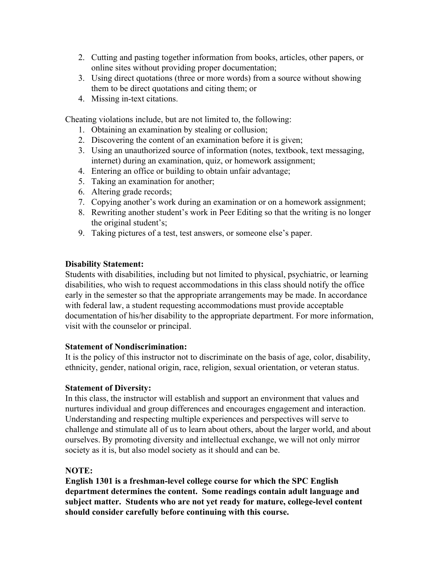- 2. Cutting and pasting together information from books, articles, other papers, or online sites without providing proper documentation;
- 3. Using direct quotations (three or more words) from a source without showing them to be direct quotations and citing them; or
- 4. Missing in-text citations.

Cheating violations include, but are not limited to, the following:

- 1. Obtaining an examination by stealing or collusion;
- 2. Discovering the content of an examination before it is given;
- 3. Using an unauthorized source of information (notes, textbook, text messaging, internet) during an examination, quiz, or homework assignment;
- 4. Entering an office or building to obtain unfair advantage;
- 5. Taking an examination for another;
- 6. Altering grade records;
- 7. Copying another's work during an examination or on a homework assignment;
- 8. Rewriting another student's work in Peer Editing so that the writing is no longer the original student's;
- 9. Taking pictures of a test, test answers, or someone else's paper.

### **Disability Statement:**

Students with disabilities, including but not limited to physical, psychiatric, or learning disabilities, who wish to request accommodations in this class should notify the office early in the semester so that the appropriate arrangements may be made. In accordance with federal law, a student requesting accommodations must provide acceptable documentation of his/her disability to the appropriate department. For more information, visit with the counselor or principal.

#### **Statement of Nondiscrimination:**

It is the policy of this instructor not to discriminate on the basis of age, color, disability, ethnicity, gender, national origin, race, religion, sexual orientation, or veteran status.

#### **Statement of Diversity:**

In this class, the instructor will establish and support an environment that values and nurtures individual and group differences and encourages engagement and interaction. Understanding and respecting multiple experiences and perspectives will serve to challenge and stimulate all of us to learn about others, about the larger world, and about ourselves. By promoting diversity and intellectual exchange, we will not only mirror society as it is, but also model society as it should and can be.

#### **NOTE:**

**English 1301 is a freshman-level college course for which the SPC English department determines the content. Some readings contain adult language and subject matter. Students who are not yet ready for mature, college-level content should consider carefully before continuing with this course.**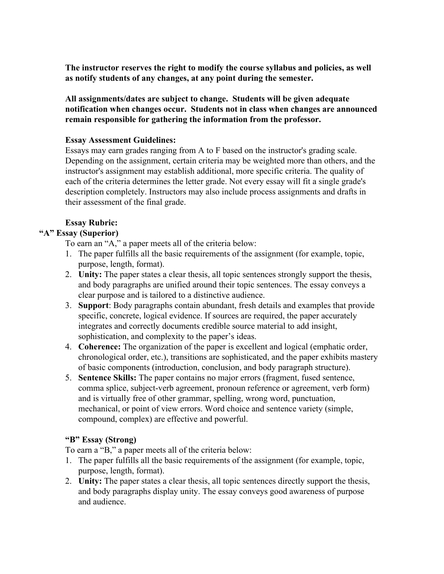**The instructor reserves the right to modify the course syllabus and policies, as well as notify students of any changes, at any point during the semester.**

**All assignments/dates are subject to change. Students will be given adequate notification when changes occur. Students not in class when changes are announced remain responsible for gathering the information from the professor.**

# **Essay Assessment Guidelines:**

Essays may earn grades ranging from A to F based on the instructor's grading scale. Depending on the assignment, certain criteria may be weighted more than others, and the instructor's assignment may establish additional, more specific criteria. The quality of each of the criteria determines the letter grade. Not every essay will fit a single grade's description completely. Instructors may also include process assignments and drafts in their assessment of the final grade.

# **Essay Rubric:**

# **"A" Essay (Superior)**

To earn an "A," a paper meets all of the criteria below:

- 1. The paper fulfills all the basic requirements of the assignment (for example, topic, purpose, length, format).
- 2. **Unity:** The paper states a clear thesis, all topic sentences strongly support the thesis, and body paragraphs are unified around their topic sentences. The essay conveys a clear purpose and is tailored to a distinctive audience.
- 3. **Support**: Body paragraphs contain abundant, fresh details and examples that provide specific, concrete, logical evidence. If sources are required, the paper accurately integrates and correctly documents credible source material to add insight, sophistication, and complexity to the paper's ideas.
- 4. **Coherence:** The organization of the paper is excellent and logical (emphatic order, chronological order, etc.), transitions are sophisticated, and the paper exhibits mastery of basic components (introduction, conclusion, and body paragraph structure).
- 5. **Sentence Skills:** The paper contains no major errors (fragment, fused sentence, comma splice, subject-verb agreement, pronoun reference or agreement, verb form) and is virtually free of other grammar, spelling, wrong word, punctuation, mechanical, or point of view errors. Word choice and sentence variety (simple, compound, complex) are effective and powerful.

# **"B" Essay (Strong)**

To earn a "B," a paper meets all of the criteria below:

- 1. The paper fulfills all the basic requirements of the assignment (for example, topic, purpose, length, format).
- 2. **Unity:** The paper states a clear thesis, all topic sentences directly support the thesis, and body paragraphs display unity. The essay conveys good awareness of purpose and audience.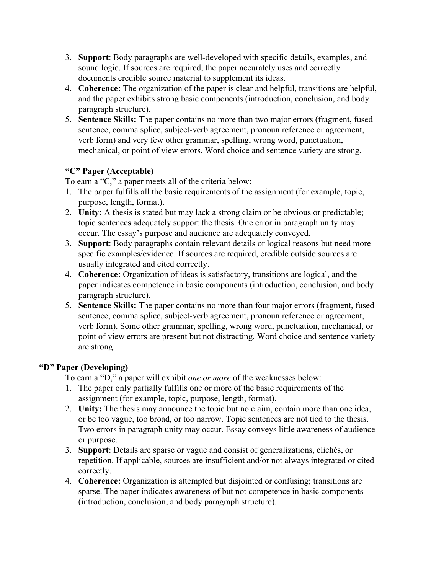- 3. **Support**: Body paragraphs are well-developed with specific details, examples, and sound logic. If sources are required, the paper accurately uses and correctly documents credible source material to supplement its ideas.
- 4. **Coherence:** The organization of the paper is clear and helpful, transitions are helpful, and the paper exhibits strong basic components (introduction, conclusion, and body paragraph structure).
- 5. **Sentence Skills:** The paper contains no more than two major errors (fragment, fused sentence, comma splice, subject-verb agreement, pronoun reference or agreement, verb form) and very few other grammar, spelling, wrong word, punctuation, mechanical, or point of view errors. Word choice and sentence variety are strong.

# **"C" Paper (Acceptable)**

To earn a "C," a paper meets all of the criteria below:

- 1. The paper fulfills all the basic requirements of the assignment (for example, topic, purpose, length, format).
- 2. **Unity:** A thesis is stated but may lack a strong claim or be obvious or predictable; topic sentences adequately support the thesis. One error in paragraph unity may occur. The essay's purpose and audience are adequately conveyed.
- 3. **Support**: Body paragraphs contain relevant details or logical reasons but need more specific examples/evidence. If sources are required, credible outside sources are usually integrated and cited correctly.
- 4. **Coherence:** Organization of ideas is satisfactory, transitions are logical, and the paper indicates competence in basic components (introduction, conclusion, and body paragraph structure).
- 5. **Sentence Skills:** The paper contains no more than four major errors (fragment, fused sentence, comma splice, subject-verb agreement, pronoun reference or agreement, verb form). Some other grammar, spelling, wrong word, punctuation, mechanical, or point of view errors are present but not distracting. Word choice and sentence variety are strong.

# **"D" Paper (Developing)**

To earn a "D," a paper will exhibit *one or more* of the weaknesses below:

- 1. The paper only partially fulfills one or more of the basic requirements of the assignment (for example, topic, purpose, length, format).
- 2. **Unity:** The thesis may announce the topic but no claim, contain more than one idea, or be too vague, too broad, or too narrow. Topic sentences are not tied to the thesis. Two errors in paragraph unity may occur. Essay conveys little awareness of audience or purpose.
- 3. **Support**: Details are sparse or vague and consist of generalizations, clichés, or repetition. If applicable, sources are insufficient and/or not always integrated or cited correctly.
- 4. **Coherence:** Organization is attempted but disjointed or confusing; transitions are sparse. The paper indicates awareness of but not competence in basic components (introduction, conclusion, and body paragraph structure).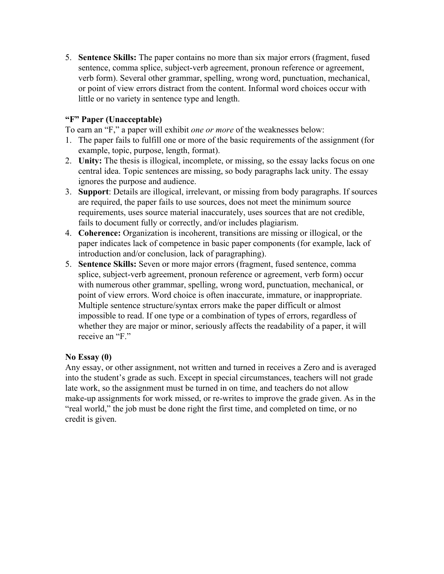5. **Sentence Skills:** The paper contains no more than six major errors (fragment, fused sentence, comma splice, subject-verb agreement, pronoun reference or agreement, verb form). Several other grammar, spelling, wrong word, punctuation, mechanical, or point of view errors distract from the content. Informal word choices occur with little or no variety in sentence type and length.

# **"F" Paper (Unacceptable)**

To earn an "F," a paper will exhibit *one or more* of the weaknesses below:

- 1. The paper fails to fulfill one or more of the basic requirements of the assignment (for example, topic, purpose, length, format).
- 2. **Unity:** The thesis is illogical, incomplete, or missing, so the essay lacks focus on one central idea. Topic sentences are missing, so body paragraphs lack unity. The essay ignores the purpose and audience.
- 3. **Support**: Details are illogical, irrelevant, or missing from body paragraphs. If sources are required, the paper fails to use sources, does not meet the minimum source requirements, uses source material inaccurately, uses sources that are not credible, fails to document fully or correctly, and/or includes plagiarism.
- 4. **Coherence:** Organization is incoherent, transitions are missing or illogical, or the paper indicates lack of competence in basic paper components (for example, lack of introduction and/or conclusion, lack of paragraphing).
- 5. **Sentence Skills:** Seven or more major errors (fragment, fused sentence, comma splice, subject-verb agreement, pronoun reference or agreement, verb form) occur with numerous other grammar, spelling, wrong word, punctuation, mechanical, or point of view errors. Word choice is often inaccurate, immature, or inappropriate. Multiple sentence structure/syntax errors make the paper difficult or almost impossible to read. If one type or a combination of types of errors, regardless of whether they are major or minor, seriously affects the readability of a paper, it will receive an "F."

# **No Essay (0)**

Any essay, or other assignment, not written and turned in receives a Zero and is averaged into the student's grade as such. Except in special circumstances, teachers will not grade late work, so the assignment must be turned in on time, and teachers do not allow make-up assignments for work missed, or re-writes to improve the grade given. As in the "real world," the job must be done right the first time, and completed on time, or no credit is given.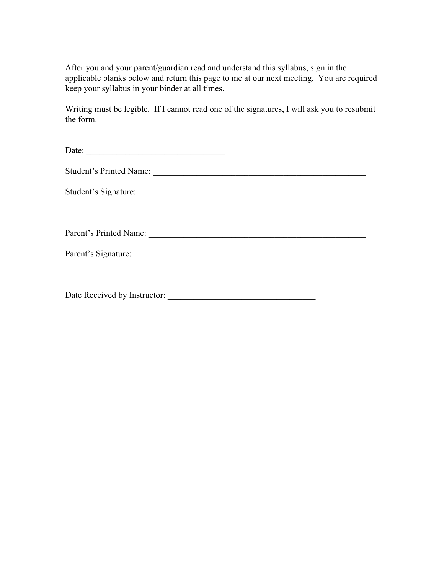After you and your parent/guardian read and understand this syllabus, sign in the applicable blanks below and return this page to me at our next meeting. You are required keep your syllabus in your binder at all times.

Writing must be legible. If I cannot read one of the signatures, I will ask you to resubmit the form.

Date: \_\_\_\_\_\_\_\_\_\_\_\_\_\_\_\_\_\_\_\_\_\_\_\_\_\_\_\_\_\_\_\_

Student's Printed Name: \_\_\_\_\_\_\_\_\_\_\_\_\_\_\_\_\_\_\_\_\_\_\_\_\_\_\_\_\_\_\_\_\_\_\_\_\_\_\_\_\_\_\_\_\_\_\_\_\_

Student's Signature: \_\_\_\_\_\_\_\_\_\_\_\_\_\_\_\_\_\_\_\_\_\_\_\_\_\_\_\_\_\_\_\_\_\_\_\_\_\_\_\_\_\_\_\_\_\_\_\_\_\_\_\_\_

Parent's Printed Name: \_\_\_\_\_\_\_\_\_\_\_\_\_\_\_\_\_\_\_\_\_\_\_\_\_\_\_\_\_\_\_\_\_\_\_\_\_\_\_\_\_\_\_\_\_\_\_\_\_\_

Parent's Signature: \_\_\_\_\_\_\_\_\_\_\_\_\_\_\_\_\_\_\_\_\_\_\_\_\_\_\_\_\_\_\_\_\_\_\_\_\_\_\_\_\_\_\_\_\_\_\_\_\_\_\_\_\_\_

Date Received by Instructor: \_\_\_\_\_\_\_\_\_\_\_\_\_\_\_\_\_\_\_\_\_\_\_\_\_\_\_\_\_\_\_\_\_\_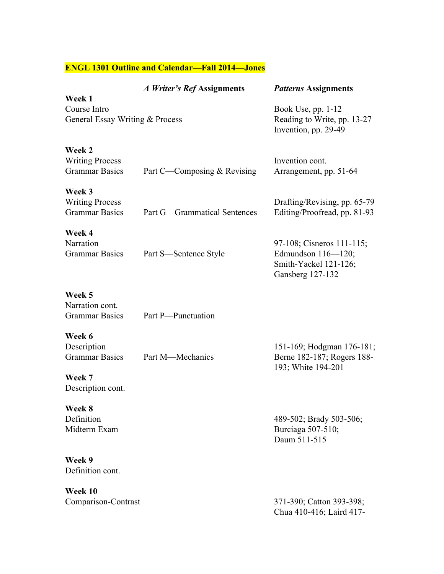# **ENGL 1301 Outline and Calendar—Fall 2014—Jones**

| Week 1                                                    | A Writer's Ref Assignments   | <b>Patterns Assignments</b>                                                                  |
|-----------------------------------------------------------|------------------------------|----------------------------------------------------------------------------------------------|
| Course Intro<br>General Essay Writing & Process           |                              | Book Use, pp. 1-12<br>Reading to Write, pp. 13-27<br>Invention, pp. 29-49                    |
| Week 2<br><b>Writing Process</b><br><b>Grammar Basics</b> | Part C—Composing & Revising  | Invention cont.<br>Arrangement, pp. 51-64                                                    |
| Week 3<br><b>Writing Process</b><br><b>Grammar Basics</b> | Part G-Grammatical Sentences | Drafting/Revising, pp. 65-79<br>Editing/Proofread, pp. 81-93                                 |
| Week 4<br>Narration<br><b>Grammar Basics</b>              | Part S-Sentence Style        | 97-108; Cisneros 111-115;<br>Edmundson 116-120;<br>Smith-Yackel 121-126;<br>Gansberg 127-132 |
| Week 5<br>Narration cont.<br><b>Grammar Basics</b>        | Part P-Punctuation           |                                                                                              |
| Week 6<br>Description<br><b>Grammar Basics</b>            | Part M—Mechanics             | 151-169; Hodgman 176-181;<br>Berne 182-187; Rogers 188-<br>193; White 194-201                |
| Week 7<br>Description cont.                               |                              |                                                                                              |
| Week 8<br>Definition<br>Midterm Exam                      |                              | 489-502; Brady 503-506;<br>Burciaga 507-510;<br>Daum 511-515                                 |
| Week 9<br>Definition cont.                                |                              |                                                                                              |
| Week 10<br>Comparison-Contrast                            |                              | 371-390; Catton 393-398;<br>Chua 410-416; Laird 417-                                         |